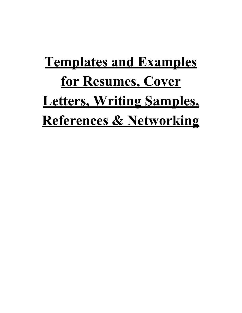# **Templates and Examples for Resumes, Cover Letters, Writing Samples, References & Networking**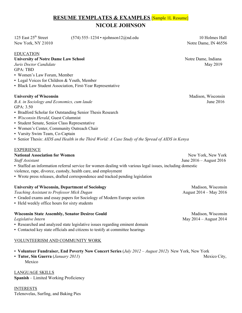# **RESUME TEMPLATES & EXAMPLES** [Sample 1L Resume] **NICOLE JOHNSON**

125 East 25<sup>th</sup> Street

 $t$  (574) 555–1234 • njohnson12@nd.edu 10 Holmes Hall

# EDUCATION

# **University of Notre Dame Law School** Notre Dame, Indiana

*Juris* Doctor *Candidate* May 2019 GPA: TBD

- Women's Law Forum, Member
- Legal Voices for Children & Youth, Member
- Black Law Student Association, First-Year Representative

# **University of Wisconsin** Madison, Wisconsin Madison, Wisconsin

*B.A. in Sociology and Economics, cum laude* June 2016 GPA: 3.50

- Bradford Scholar for Outstanding Senior Thesis Research
- *Wisconsin Herald*, Guest Columnist
- Student Senate, Senior Class Representative
- Women's Center, Community Outreach Chair
- Varsity Swim Team, Co-Captain
- Senior Thesis: *AIDS and Health in the Third World: A Case Study of the Spread of AIDS in Kenya*

# EXPERIENCE

# **National Association for Women**<br> *Staff Assistant* **Staff Assistant Staff Assistant I** une 2016 – August 2016

▪ Staffed an information referral service for women dealing with various legal issues, including domestic violence, rape, divorce, custody, health care, and employment

▪ Wrote press releases, drafted correspondence and tracked pending legislation

**Teaching Assistant to Professor Mick Dugan** 

- Graded exams and essay papers for Sociology of Modern Europe section
- Held weekly office hours for sixty students

# **Wisconsin State Assembly, Senator Desiree Gould Madison, Wisconsin**<br>*Legislative Intern* May 2014 – August 2014

- Researched and analyzed state legislative issues regarding eminent domain
- Contacted key state officials and citizens to testify at committee hearings

# VOLUNTEERISM AND COMMUNITY WORK

- **Volunteer Fundraiser, End Poverty Now Concert Series** (*July 2012 – August 2012*) New York, New York
- Tutor, Sin Guerra (January 2011) Mexico

LANGUAGE SKILLS **Spanish** – Limited Working Proficiency

INTERESTS Telenovelas, Surfing, and Baking Pies

New York, NY 21010 Notre Dame, IN 46556

*Staf Assistant* June 2016 – August 2016

**University of Wisconsin, Department of Sociology** Madison, Wisconsin<br> *Teaching Assistant to Professor Mick Dugan* August 2014 – May 2016

*Legislative Intern* May 2014 – August 2014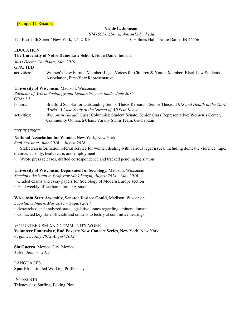# [Sample 1L Resume]

# **Nicole L. Johnson**

(574) 555-1234 ¨ *njohnson12@nd.edu*

125 East 25th Street ¨ New York, NY 21010 10 Holmes Hall ¨ Notre Dame, IN 46556

# EDUCATION

# **The University of Notre Dame Law School,** Notre Dame, Indiana

*Juris Doctor Candidate, May 2019*

GPA: TBD

activities: Women's Law Forum, Member; Legal Voices for Children & Youth, Member; Black Law Students Association, First-Year Representative

# **University of Wisconsin,** Madison, Wisconsin

|             | Bachelor of Arts in Sociology and Economics, cum laude, June 2016                                    |
|-------------|------------------------------------------------------------------------------------------------------|
| GPA: 3.5    |                                                                                                      |
| honors:     | Bradford Scholar for Outstanding Senior Thesis Research; Senior Thesis: AIDS and Health in the Third |
|             | World: A Case Study of the Spread of AIDS in Kenya                                                   |
| activities: | Wisconsin Herald, Guest Columnist; Student Senate, Senior Class Representative; Women's Center,      |
|             | Community Outreach Chair; Varsity Swim Team, Co-Captain                                              |

## EXPERIENCE

# **National Association for Women,** New York, New York

*Staf Assistant, June 2016 – August 2016*

· Staffed an information referral service for women dealing with various legal issues, including domestic violence, rape, divorce, custody, health care, and employment

· Wrote press releases, drafted correspondence and tracked pending legislation

# **University of Wisconsin, Department of Sociology,** Madison, Wisconsin

*Teaching Assistant to Professor Mick Dugan, August 2014 – May 2016*

- · Graded exams and essay papers for Sociology of Modern Europe section
- · Held weekly office hours for sixty students

# **Wisconsin State Assembly, Senator Desiree Gould,** Madison, Wisconsin

*Legislative Intern, May 2014 – August 2014*

- · Researched and analyzed state legislative issues regarding eminent domain
- · Contacted key state officials and citizens to testify at committee hearings

# VOLUNTEERISM AND COMMUNITY WORK

**Volunteer Fundraiser, End Poverty Now Concert Series,** New York, New York *Organizer, July 2012-August 2012*

**Sin Guerra,** Mexico City, Mexico *Tutor, January 2011*

LANGUAGES **Spanish** – Limited Working Proficiency

INTERESTS Telenovelas; Surfing; Baking Pies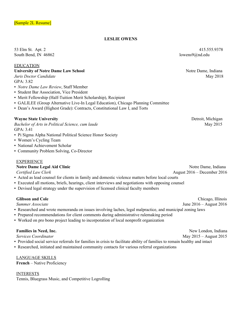# **LESLIE OWENS**

South Bend, IN 46862 lowens9@nd.edu

# EDUCATION

*Juris Doctor Candidate*  $GPA.3.82$ 

- *Notre Dame Law Review*, Staff Member
- Student Bar Association, Vice President
- Merit Fellowship (Half-Tuition Merit Scholarship), Recipient
- GALILEE (Group Alternative Live-In Legal Education), Chicago Planning Committee
- Dean's Award (Highest Grade): Contracts, Constitutional Law I, and Torts

# **Wayne State University** Detroit, Michigan

*Bachelor of Arts in Political Science, <i>cum laude* May 2015  $GPA.341$ 

- Pi Sigma Alpha National Political Science Honor Society
- Women's Cycling Team
- National Achievement Scholar
- Community Problem Solving, Co-Director

### EXPERIENCE

# **Notre Dame Legal Aid Clinic** Notre Dame, Indiana<br>Certified Law Clerk August 2016 – December 2016

- Acted as lead counsel for clients in family and domestic violence matters before local courts
- Executed all motions, briefs, hearings, client interviews and negotiations with opposing counsel
- Devised legal strategy under the supervision of licensed clinical faculty members

- Researched and wrote memoranda on issues involving laches, legal malpractice, and municipal zoning laws
- Prepared recommendations for client comments during administrative rulemaking period
- Worked on pro bono project leading to incorporation of local nonprofit organization

- Provided social service referrals for families in crisis to facilitate ability of families to remain healthy and intact
- Researched, initiated and maintained community contacts for various referral organizations

# LANGUAGE SKILLS

**French** – Native Proficiency

# INTERESTS

Tennis, Bluegrass Music, and Competitive Logrolling

53 Elm St. Apt. 2 415.555.9378

**University of Notre Dame Law School** Notre Dame, Indiana<br> *Juris Doctor Candidate* May 2018

*Certified Law Clerk* August 2016 – December 2016

**Glibson and Cole** Chicago, Illinois *Summer Associate* June 2016 – August 2016

**Families in Need, Inc.**<br> *Services Coordinator*<br>
May 2015 – August 2015 *Services Coordinator* May 2015 – August 2015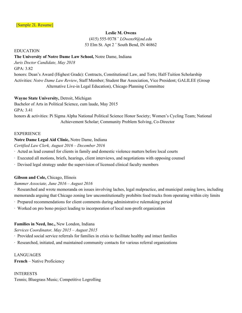# **Leslie M. Owens**

(415) 555-9378 ¨ *LOwens9@nd.edu* 53 Elm St. Apt 2 ¨ South Bend, IN 46862

EDUCATION

# **The University of Notre Dame Law School,** Notre Dame, Indiana

*Juris Doctor Candidate, May 2018*

GPA: 3.82

honors: Dean's Award (Highest Grade): Contracts, Constitutional Law, and Torts; Half-Tuition Scholarship Activities: *Notre Dame Law Review*, Staff Member; Student Bar Association, Vice President; GALILEE (Group Alternative Live-in Legal Education), Chicago Planning Committee

# **Wayne State University,** Detroit, Michigan

Bachelor of Arts in Political Science, cum laude, May 2015

GPA: 3.41

honors & activities: Pi Sigma Alpha National Political Science Honor Society; Women's Cycling Team; National Achievement Scholar; Community Problem Solving, Co-Director

# **EXPERIENCE**

# **Notre Dame Legal Aid Clinic,** Notre Dame, Indiana

*Certified Law Clerk, August 2016 – December 2016*

- · Acted as lead counsel for clients in family and domestic violence matters before local courts
- · Executed all motions, briefs, hearings, client interviews, and negotiations with opposing counsel
- · Devised legal strategy under the supervision of licensed clinical faculty members

# **Gibson and Cole,** Chicago, Illinois

# *Summer Associate, June 2016 – August 2016*

· Researched and wrote memoranda on issues involving laches, legal malpractice, and municipal zoning laws, including memoranda arguing that Chicago zoning law unconstitutionally prohibits food trucks from operating within city limits

- · Prepared recommendations for client comments during administrative rulemaking period
- · Worked on pro bono project leading to incorporation of local non-profit organization

# **Families in Need, Inc.,** New London, Indiana

*Services Coordinator, May 2015 – August 2015*

- · Provided social service referrals for families in crisis to facilitate healthy and intact families
- · Researched, initiated, and maintained community contacts for various referral organizations

LANGUAGES **French** – Native Proficiency

INTERESTS Tennis; Bluegrass Music; Competitive Logrolling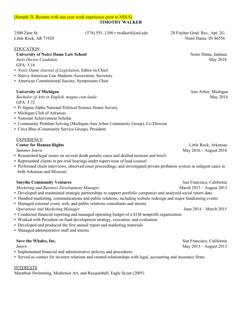# [Sample 2L Resume with one year work experience prior to NDLS] **TIMOTHY WALKER**

EDUCATION

# **University of Notre Dame Law School** Notre Dame, Indiana<br> *Juris Doctor Candidate* May 2018

*Juris Doctor Candidate* GPA: 3.16

- *Notre Dame Journal of Legislation*, Editor-in-Chief
- Native American Law Students Association, Secretary
- **American Constitutional Society, Symposium Chair**

# **University of Michigan** Ann Arbor, Michigan

*Bachelor of Arts in English, magna cum laude* May 2014 GPA: 3.72

- Pi Sigma Alpha National Political Science Honor Society
- Michigan Club of Arkansas
- National Achievement Scholar
- Community Problem Solving (Michigan-Ann Arbor Community Group), Co-Director
- Circa Blue (Community Service Group), President

# EXPERIENCE

- Researched legal issues on several death penalty cases and drafted motions and briefs
- Represented clients in pre-trial hearings under supervision of lead counsel
- Performed client interviews, observed court proceedings, and investigated private probation system in indigent cases in both Arkansas and Missouri

**Smythe Community Ventures** San Francisco, California<br> *Marketing and Business Development Manager* March 2015 – August 2015 *Marketing and Business Development Manager* 

- Developed and maintained strategic partnerships to support portfolio companies and analyzed social return data
- Handled marketing, communications and public relations, including website redesign and major fundraising events
- Managed external event, web, and public relations consultants and interns *Operations and Marketing Manager* June 2014 – March 2015
- Conducted financial reporting and managed operating budget of a \$1M nonprofit organization
- Worked with President on fund development strategy, execution, and evaluation
- Developed and produced the first annual report and marketing materials
- Managed administrative staff and interns

- Implemented financial and administrative policies and procedures
- Served as contact for investor relations and created relationships with legal, accounting and insurance firms

# INTERESTS

Marathon Swimming, Modernist Art, and Racquetball; Eagle Scout (2005)

Little Rock, AR 71920 Notre Dame, IN 46556

**Center for Human Rights** Little Rock, Arkansas<br>
Summer Intern<br>
May 2016 – August 2016 *Summer Intern* May 2016 – August 2016

**Save the Whales, Inc.**<br> *Intern*<br> *Intern*<br>
May 2013 – August 2013 *Intern* May 2013 – August 2013

2500 Zane St. (574) 555–1300 • twalker4@nd.edu 28 Fischer Grad. Res., Apt. 2G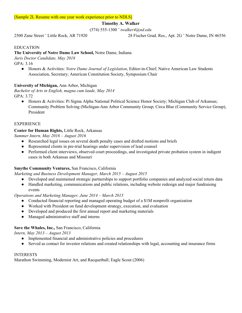# **Timothy A. Walker**

(574) 555-1300 ¨ *twalker4@nd.edu*

2500 Zane Street ¨ Little Rock, AR 71920 28 Fischer Grad. Res., Apt. 2G ¨ Notre Dame, IN 46556

# EDUCATION

# **The University of Notre Dame Law School,** Notre Dame, Indiana

*Juris Doctor Candidate, May 2018*

GPA: 3.16

● Honors & Activities: *Notre Dame Journal of Legislation*, Editor-in-Chief; Native American Law Students Association, Secretary; American Constitution Society, Symposium Chair

# **University of Michigan,** Ann Arbor, Michigan

*Bachelor of Arts in English, magna cum laude, May 2014* GPA: 3.72

• Honors & Activities: Pi Sigma Alpha National Political Science Honor Society; Michigan Club of Arkansas; Community Problem Solving (Michigan-Ann Arbor Community Group; Circa Blue (Community Service Group), President

# EXPERIENCE

# **Center for Human Rights,** Little Rock, Arkansas

*Summer Intern, May 2016 – August 2016*

- Researched legal issues on several death penalty cases and drafted motions and briefs
- Represented clients in pre-trial hearings under supervision of lead counsel
- Performed client interviews, observed court proceedings, and investigated private probation system in indigent cases in both Arkansas and Missouri

# **Smythe Community Ventures,** San Francisco, California

*Marketing and Business Development Manager, March 2015 – August 2015*

- Developed and maintained strategic partnerships to support portfolio companies and analyzed social return data
- Handled marketing, communications and public relations, including website redesign and major fundraising events

*Operations and Marketing Manager, June 2014 – March 2015*

- Conducted financial reporting and managed operating budget of a \$1M nonprofit organization
- Worked with President on fund development strategy, execution, and evaluation
- Developed and produced the first annual report and marketing materials
- Managed administrative staff and interns

# **Save the Whales, Inc.,** San Francisco, California

*Intern, May 2013 – August 2013*

- Implemented financial and administrative policies and procedures
- Served as contact for investor relations and created relationships with legal, accounting and insurance firms

# INTERESTS

Marathon Swimming, Modernist Art, and Racquetball; Eagle Scout (2006)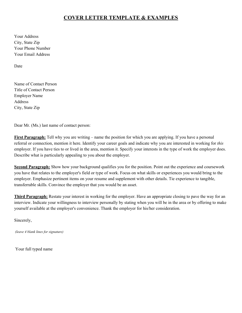# **COVER LETTER TEMPLATE & EXAMPLES**

Your Address City, State Zip Your Phone Number Your Email Address

Date

Name of Contact Person Title of Contact Person Employer Name Address City, State Zip

Dear Mr. (Ms.) last name of contact person:

**First Paragraph:** Tell why you are writing – name the position for which you are applying. If you have a personal referral or connection, mention it here. Identify your career goals and indicate why you are interested in working for *this* employer. If you have ties to or lived in the area, mention it. Specify your interests in the type of work the employer does. Describe what is particularly appealing to you about the employer.

**Second Paragraph:** Show how your background qualifies you for the position. Point out the experience and coursework you have that relates to the employer's field or type of work. Focus on what skills or experiences you would bring to the employer. Emphasize pertinent items on your resume and supplement with other details. Tie experience to tangible, transferrable skills. Convince the employer that you would be an asset.

**Third Paragraph:** Restate your interest in working for the employer. Have an appropriate closing to pave the way for an interview. Indicate your willingness to interview personally by stating when you will be in the area or by offering to make yourself available at the employer's convenience. Thank the employer for his/her consideration.

Sincerely,

 *(leave 4 blank lines for signature)*

Your full typed name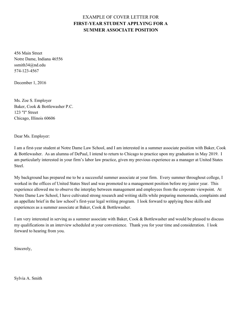# EXAMPLE OF COVER LETTER FOR **FIRST-YEAR STUDENT APPLYING FOR A SUMMER ASSOCIATE POSITION**

456 Main Street Notre Dame, Indiana 46556 ssmith34@nd.edu 574-123-4567

December 1, 2016

Ms. Zoe S. Employer Baker, Cook & Bottlewasher P.C. 123 "I" Street Chicago, Illinois 60606

Dear Ms. Employer:

I am a first-year student at Notre Dame Law School, and I am interested in a summer associate position with Baker, Cook & Bottlewasher. As an alumna of DePaul, I intend to return to Chicago to practice upon my graduation in May 2019. I am particularly interested in your firm's labor law practice, given my previous experience as a manager at United States Steel.

My background has prepared me to be a successful summer associate at your firm. Every summer throughout college, I worked in the offices of United States Steel and was promoted to a management position before my junior year. This experience allowed me to observe the interplay between management and employees from the corporate viewpoint. At Notre Dame Law School, I have cultivated strong research and writing skills while preparing memoranda, complaints and an appellate brief in the law school's first-year legal writing program. I look forward to applying these skills and experiences as a summer associate at Baker, Cook & Bottlewasher.

I am very interested in serving as a summer associate with Baker, Cook & Bottlewasher and would be pleased to discuss my qualifications in an interview scheduled at your convenience. Thank you for your time and consideration. I look forward to hearing from you.

Sincerely,

Sylvia A. Smith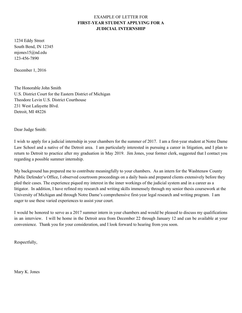# EXAMPLE OF LETTER FOR **FIRST-YEAR STUDENT APPLYING FOR A JUDICIAL INTERNSHIP**

1234 Eddy Street South Bend, IN 12345 mjones15@nd.edu 123-456-7890

December 1, 2016

The Honorable John Smith U.S. District Court for the Eastern District of Michigan Theodore Levin U.S. District Courthouse 231 West Lafayette Blvd. Detroit, MI 48226

Dear Judge Smith:

I wish to apply for a judicial internship in your chambers for the summer of 2017. I am a first-year student at Notre Dame Law School and a native of the Detroit area. I am particularly interested in pursuing a career in litigation, and I plan to return to Detroit to practice after my graduation in May 2019. Jim Jones, your former clerk, suggested that I contact you regarding a possible summer internship.

My background has prepared me to contribute meaningfully to your chambers. As an intern for the Washtenaw County Public Defender's Office, I observed courtroom proceedings on a daily basis and prepared clients extensively before they pled their cases. The experience piqued my interest in the inner workings of the judicial system and in a career as a litigator. In addition, I have refined my research and writing skills immensely through my senior thesis coursework at the University of Michigan and through Notre Dame's comprehensive first-year legal research and writing program. I am eager to use these varied experiences to assist your court.

I would be honored to serve as a 2017 summer intern in your chambers and would be pleased to discuss my qualifications in an interview. I will be home in the Detroit area from December 22 through January 12 and can be available at your convenience. Thank you for your consideration, and I look forward to hearing from you soon.

Respectfully,

Mary K. Jones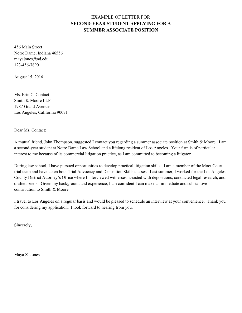# EXAMPLE OF LETTER FOR **SECOND-YEAR STUDENT APPLYING FOR A SUMMER ASSOCIATE POSITION**

456 Main Street Notre Dame, Indiana 46556 mayajones@nd.edu 123-456-7890

August 15, 2016

Ms. Erin C. Contact Smith & Moore LLP 1987 Grand Avenue Los Angeles, California 90071

Dear Ms. Contact:

A mutual friend, John Thompson, suggested I contact you regarding a summer associate position at Smith & Moore. I am a second-year student at Notre Dame Law School and a lifelong resident of Los Angeles. Your firm is of particular interest to me because of its commercial litigation practice, as I am committed to becoming a litigator.

During law school, I have pursued opportunities to develop practical litigation skills. I am a member of the Moot Court trial team and have taken both Trial Advocacy and Deposition Skills classes. Last summer, I worked for the Los Angeles County District Attorney's Office where I interviewed witnesses, assisted with depositions, conducted legal research, and drafted briefs. Given my background and experience, I am confident I can make an immediate and substantive contribution to Smith & Moore.

I travel to Los Angeles on a regular basis and would be pleased to schedule an interview at your convenience. Thank you for considering my application. I look forward to hearing from you.

Sincerely,

Maya Z. Jones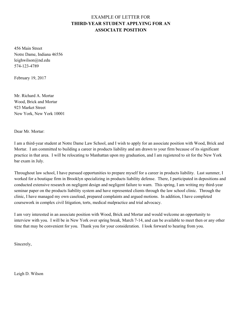# EXAMPLE OF LETTER FOR **THIRD-YEAR STUDENT APPLYING FOR AN ASSOCIATE POSITION**

456 Main Street Notre Dame, Indiana 46556 leighwilson@nd.edu 574-123-4789

February 19, 2017

Mr. Richard A. Mortar Wood, Brick and Mortar 923 Market Street New York, New York 10001

Dear Mr. Mortar:

I am a third-year student at Notre Dame Law School, and I wish to apply for an associate position with Wood, Brick and Mortar. I am committed to building a career in products liability and am drawn to your firm because of its significant practice in that area. I will be relocating to Manhattan upon my graduation, and I am registered to sit for the New York bar exam in July.

Throughout law school, I have pursued opportunities to prepare myself for a career in products liability. Last summer, I worked for a boutique firm in Brooklyn specializing in products liability defense. There, I participated in depositions and conducted extensive research on negligent design and negligent failure to warn. This spring, I am writing my third-year seminar paper on the products liability system and have represented clients through the law school clinic. Through the clinic, I have managed my own caseload, prepared complaints and argued motions. In addition, I have completed coursework in complex civil litigation, torts, medical malpractice and trial advocacy.

I am very interested in an associate position with Wood, Brick and Mortar and would welcome an opportunity to interview with you. I will be in New York over spring break, March 7-14, and can be available to meet then or any other time that may be convenient for you. Thank you for your consideration. I look forward to hearing from you.

Sincerely,

Leigh D. Wilson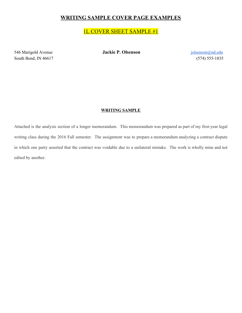# **WRITING SAMPLE COVER PAGE EXAMPLES**

# 1L COVER SHEET SAMPLE #1

546 Marigold Avenue **Jackie P. Olsenson jolsenson jolsenson jolsenson jolsenson jolsenson jolsenson jolsenson jolsenson jolsenson jolsenson jolsenson jolsenson jolsenson jolsenson jolsenson** South Bend, IN 46617 (574) 555-1835

# **WRITING SAMPLE**

Attached is the analysis section of a longer memorandum. This memorandum was prepared as part of my first-year legal writing class during the 2016 Fall semester. The assignment was to prepare a memorandum analyzing a contract dispute in which one party asserted that the contract was voidable due to a unilateral mistake. The work is wholly mine and not edited by another.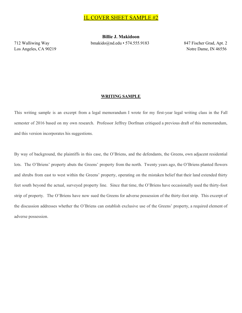**Billie J. Makidoon** 712 Walliwing Way bmakido@nd.edu • 574.555.9183 847 Fischer Grad, Apt. 2

Los Angeles, CA 90219 Notre Dame, IN 46556

### **WRITING SAMPLE**

This writing sample is an excerpt from a legal memorandum I wrote for my first-year legal writing class in the Fall semester of 2016 based on my own research. Professor Jeffrey Dorfman critiqued a previous draft of this memorandum, and this version incorporates his suggestions.

By way of background, the plaintiffs in this case, the O'Briens, and the defendants, the Greens, own adjacent residential lots. The O'Briens' property abuts the Greens' property from the north. Twenty years ago, the O'Briens planted flowers and shrubs from east to west within the Greens' property, operating on the mistaken belief that their land extended thirty feet south beyond the actual, surveyed property line. Since that time, the O'Briens have occasionally used the thirty-foot strip of property. The O'Briens have now sued the Greens for adverse possession of the thirty-foot strip. This excerpt of the discussion addresses whether the O'Briens can establish exclusive use of the Greens' property, a required element of adverse possession.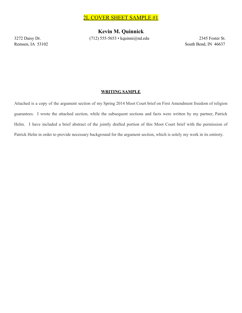# 2L COVER SHEET SAMPLE #1

**Kevin M. Quinnick** 3272 Daisy Dr. (712) 555-5653 • kquinni@nd.edu 2345 Foster St.

Remsen, IA 53102 South Bend, IN 46637

# **WRITING SAMPLE**

Attached is a copy of the argument section of my Spring 2014 Moot Court brief on First Amendment freedom of religion guarantees. I wrote the attached section, while the subsequent sections and facts were written by my partner, Patrick Helm. I have included a brief abstract of the jointly drafted portion of this Moot Court brief with the permission of Patrick Helm in order to provide necessary background for the argument section, which is solely my work in its entirety.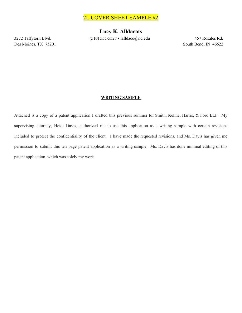Des Moines, TX 75201 South Bend, IN 46622

**Lucy K. Alldacots**  $3272$  Taffytorn Blvd. (510) 555-5327 • lalldaco@nd.edu 457 Rosales Rd.

# **WRITING SAMPLE**

Attached is a copy of a patent application I drafted this previous summer for Smith, Keline, Harris, & Ford LLP. My supervising attorney, Heidi Davis, authorized me to use this application as a writing sample with certain revisions included to protect the confidentiality of the client. I have made the requested revisions, and Ms. Davis has given me permission to submit this ten page patent application as a writing sample. Ms. Davis has done minimal editing of this patent application, which was solely my work.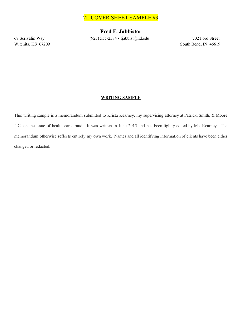2L COVER SHEET SAMPLE #3

**Fred F. Jabbistor** 67 Scrivalin Way (923) 555-2384 • fjabbist@nd.edu 702 Ford Street

Witchita, KS 67209 South Bend, IN 46619

# **WRITING SAMPLE**

This writing sample is a memorandum submitted to Krista Kearney, my supervising attorney at Patrick, Smith, & Moore P.C. on the issue of health care fraud. It was written in June 2015 and has been lightly edited by Ms. Kearney. The memorandum otherwise reflects entirely my own work. Names and all identifying information of clients have been either changed or redacted.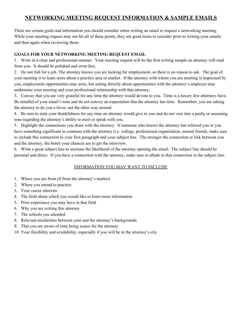# **NETWORKING MEETING REQUEST INFORMATION & SAMPLE EMAILS**

There are certain goals and information you should consider when writing an email to request a networking meeting. While your meeting request may not hit all of these points, they are good items to consider prior to writing your emails and then again when reviewing them.

# **GOALS FOR YOUR NETWORKING MEETING REQUEST EMAIL**

1. Write in a clear and professional manner. Your meeting request will be the first writing sample an attorney will read from you. It should be polished and error-free.

2. Do not fish for a job. The attorney knows you are looking for employment, so there is no reason to ask. The goal of your meeting is to learn more about a practice area or market. If the attorney with whom you are meeting is impressed by you, employment opportunities may arise, but asking directly about opportunities with the attorney's employer may undermine your meeting and your professional relationship with that attorney.

3. Convey that you are very grateful for any time the attorney would devote to you. Time is a luxury few attorneys have. Be mindful of your email's tone and do not convey an expectation that the attorney has time. Remember, you are asking the attorney to do you a favor, not the other way around.

4. Be sure to state your thankfulness for any time an attorney would give to you and do not veer into a pushy or assuming tone regarding the attorney's ability to meet or speak with you.

5. Highlight the connections you share with the attorney. If someone who knows the attorney has referred you or you have something significant in common with the attorney (i.e. college, professional organization, mutual friend), make sure to include this connection in your first paragraph and your subject line. The stronger the connection or link between you and the attorney, the better your chances are to get the interview.

6. Write a great subject line to increase the likelihood of the attorney opening the email. The subject line should be personal and direct. If you have a connection with the attorney, make sure to allude to that connection in the subject line.

# INFORMATION YOU MAY WANT TO INCLUDE

- 1. Where you are from (if from the attorney's market)
- 2. Where you intend to practice
- 3. Your career interests
- 4. The field about which you would like to learn more information
- 5. Prior experience you may have in that field
- 6. Why you are writing this attorney
- 7. The schools you attended
- 8. Relevant similarities between your and the attorney's backgrounds
- 9. That you are aware of time being scarce for the attorney
- 10. Your flexibility and availability, especially if you will be in the attorney's city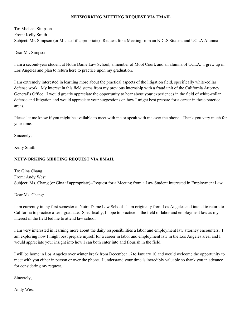# **NETWORKING MEETING REQUEST VIA EMAIL**

To: Michael Simpson From: Kelly Smith Subject: Mr. Simpson (or Michael if appropriate)--Request for a Meeting from an NDLS Student and UCLA Alumna

Dear Mr. Simpson:

I am a second-year student at Notre Dame Law School, a member of Moot Court, and an alumna of UCLA. I grew up in Los Angeles and plan to return here to practice upon my graduation.

I am extremely interested in learning more about the practical aspects of the litigation field, specifically white-collar defense work. My interest in this field stems from my previous internship with a fraud unit of the California Attorney General's Office. I would greatly appreciate the opportunity to hear about your experiences in the field of white-collar defense and litigation and would appreciate your suggestions on how I might best prepare for a career in these practice areas.

Please let me know if you might be available to meet with me or speak with me over the phone. Thank you very much for your time.

Sincerely,

Kelly Smith

# **NETWORKING MEETING REQUEST VIA EMAIL**

To: Gina Chang From: Andy West Subject: Ms. Chang (or Gina if appropriate)--Request for a Meeting from a Law Student Interested in Employment Law

Dear Ms. Chang:

I am currently in my first semester at Notre Dame Law School. I am originally from Los Angeles and intend to return to California to practice after I graduate. Specifically, I hope to practice in the field of labor and employment law as my interest in the field led me to attend law school.

I am very interested in learning more about the daily responsibilities a labor and employment law attorney encounters. I am exploring how I might best prepare myself for a career in labor and employment law in the Los Angeles area, and I would appreciate your insight into how I can both enter into and flourish in the field.

I will be home in Los Angeles over winter break from December 17 to January 10 and would welcome the opportunity to meet with you either in person or over the phone. I understand your time is incredibly valuable so thank you in advance for considering my request.

Sincerely,

Andy West